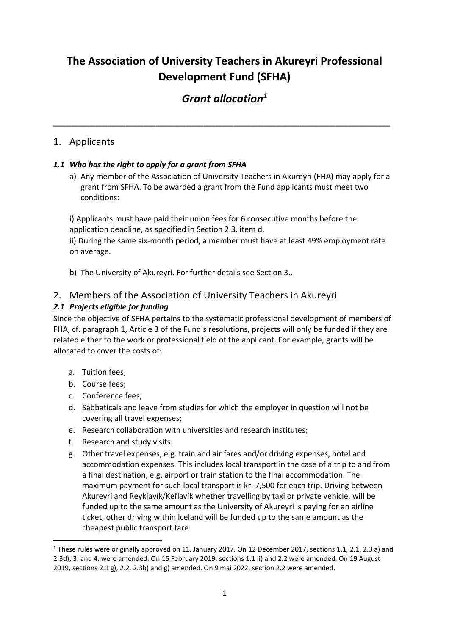# **The Association of University Teachers in Akureyri Professional Development Fund (SFHA)**

# *Grant allocation<sup>1</sup>*

**\_\_\_\_\_\_\_\_\_\_\_\_\_\_\_\_\_\_\_\_\_\_\_\_\_\_\_\_\_\_\_\_\_\_\_\_\_\_\_\_\_\_\_\_\_\_\_\_\_\_\_\_\_\_\_\_** 

# 1. Applicants

# *1.1 Who has the right to apply for a grant from SFHA*

a) Any member of the Association of University Teachers in Akureyri (FHA) may apply for a grant from SFHA. To be awarded a grant from the Fund applicants must meet two conditions:

i) Applicants must have paid their union fees for 6 consecutive months before the application deadline, as specified in Section 2.3, item d.

ii) During the same six-month period, a member must have at least 49% employment rate on average.

b) The University of Akureyri. For further details see Section 3..

# 2. Members of the Association of University Teachers in Akureyri

# *2.1 Projects eligible for funding*

Since the objective of SFHA pertains to the systematic professional development of members of FHA, cf. paragraph 1, Article 3 of the Fund's resolutions, projects will only be funded if they are related either to the work or professional field of the applicant. For example, grants will be allocated to cover the costs of:

- a. Tuition fees;
- b. Course fees;
- c. Conference fees;
- d. Sabbaticals and leave from studies for which the employer in question will not be covering all travel expenses;
- e. Research collaboration with universities and research institutes;
- f. Research and study visits.
- g. Other travel expenses, e.g. train and air fares and/or driving expenses, hotel and accommodation expenses. This includes local transport in the case of a trip to and from a final destination, e.g. airport or train station to the final accommodation. The maximum payment for such local transport is kr. 7,500 for each trip. Driving between Akureyri and Reykjavík/Keflavík whether travelling by taxi or private vehicle, will be funded up to the same amount as the University of Akureyri is paying for an airline ticket, other driving within Iceland will be funded up to the same amount as the cheapest public transport fare

 $1$  These rules were originally approved on 11. January 2017. On 12 December 2017, sections 1.1, 2.1, 2.3 a) and 2.3d), 3. and 4. were amended. On 15 February 2019, sections 1.1 ii) and 2.2 were amended. On 19 August 2019, sections 2.1 g), 2.2, 2.3b) and g) amended. On 9 mai 2022, section 2.2 were amended.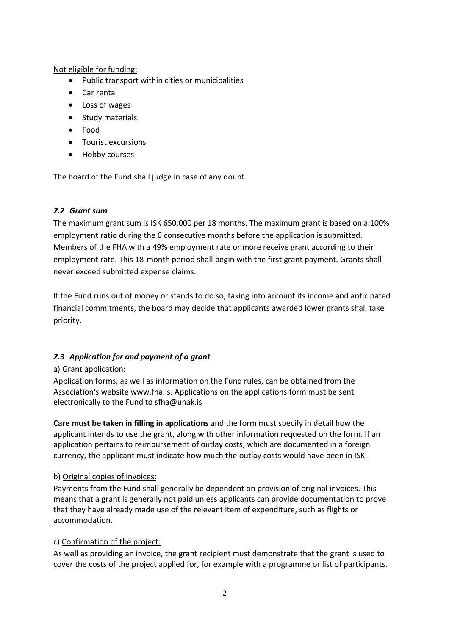Not eligible for funding:

- Public transport within cities or municipalities
- Car rental
- Loss of wages
- Study materials
- Food
- Tourist excursions
- Hobby courses

The board of the Fund shall judge in case of any doubt.

## *2.2 Grant sum*

The maximum grant sum is ISK 650,000 per 18 months. The maximum grant is based on a 100% employment ratio during the 6 consecutive months before the application is submitted. Members of the FHA with a 49% employment rate or more receive grant according to their employment rate. This 18-month period shall begin with the first grant payment. Grants shall never exceed submitted expense claims.

If the Fund runs out of money or stands to do so, taking into account its income and anticipated financial commitments, the board may decide that applicants awarded lower grants shall take priority.

## *2.3 Application for and payment of a grant*

## a) Grant application:

Application forms, as well as information on the Fund rules, can be obtained from the Association's website www.fha.is. Applications on the applications form must be sent electronically to the Fund to sfha@unak.is

**Care must be taken in filling in applications** and the form must specify in detail how the applicant intends to use the grant, along with other information requested on the form. If an application pertains to reimbursement of outlay costs, which are documented in a foreign currency, the applicant must indicate how much the outlay costs would have been in ISK.

## b) Original copies of invoices:

Payments from the Fund shall generally be dependent on provision of original invoices. This means that a grant is generally not paid unless applicants can provide documentation to prove that they have already made use of the relevant item of expenditure, such as flights or accommodation.

## c) Confirmation of the project:

As well as providing an invoice, the grant recipient must demonstrate that the grant is used to cover the costs of the project applied for, for example with a programme or list of participants.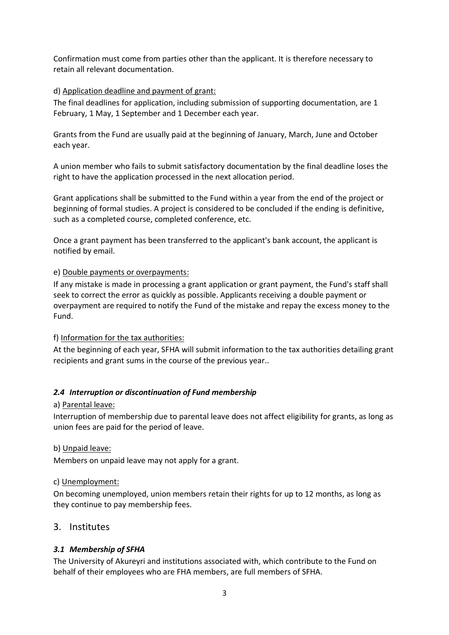Confirmation must come from parties other than the applicant. It is therefore necessary to retain all relevant documentation.

#### d) Application deadline and payment of grant:

The final deadlines for application, including submission of supporting documentation, are 1 February, 1 May, 1 September and 1 December each year.

Grants from the Fund are usually paid at the beginning of January, March, June and October each year.

A union member who fails to submit satisfactory documentation by the final deadline loses the right to have the application processed in the next allocation period.

Grant applications shall be submitted to the Fund within a year from the end of the project or beginning of formal studies. A project is considered to be concluded if the ending is definitive, such as a completed course, completed conference, etc.

Once a grant payment has been transferred to the applicant's bank account, the applicant is notified by email.

#### e) Double payments or overpayments:

If any mistake is made in processing a grant application or grant payment, the Fund's staff shall seek to correct the error as quickly as possible. Applicants receiving a double payment or overpayment are required to notify the Fund of the mistake and repay the excess money to the Fund.

#### f) Information for the tax authorities:

At the beginning of each year, SFHA will submit information to the tax authorities detailing grant recipients and grant sums in the course of the previous year..

## *2.4 Interruption or discontinuation of Fund membership*

#### a) Parental leave:

Interruption of membership due to parental leave does not affect eligibility for grants, as long as union fees are paid for the period of leave.

b) Unpaid leave:

Members on unpaid leave may not apply for a grant.

#### c) Unemployment:

On becoming unemployed, union members retain their rights for up to 12 months, as long as they continue to pay membership fees.

## 3. Institutes

## *3.1 Membership of SFHA*

The University of Akureyri and institutions associated with, which contribute to the Fund on behalf of their employees who are FHA members, are full members of SFHA.